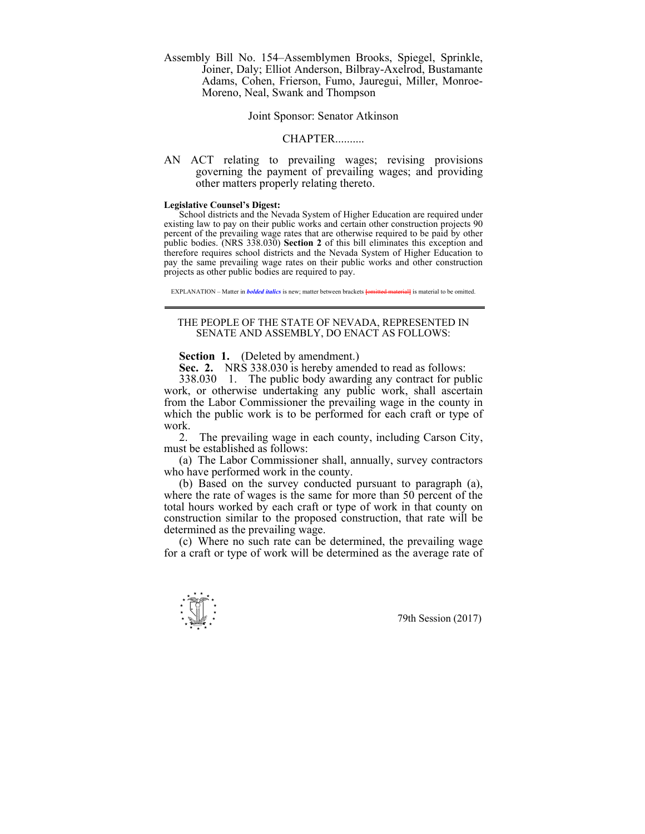Assembly Bill No. 154–Assemblymen Brooks, Spiegel, Sprinkle, Joiner, Daly; Elliot Anderson, Bilbray-Axelrod, Bustamante Adams, Cohen, Frierson, Fumo, Jauregui, Miller, Monroe-Moreno, Neal, Swank and Thompson

## Joint Sponsor: Senator Atkinson

## CHAPTER..........

AN ACT relating to prevailing wages; revising provisions governing the payment of prevailing wages; and providing other matters properly relating thereto.

## **Legislative Counsel's Digest:**

 School districts and the Nevada System of Higher Education are required under existing law to pay on their public works and certain other construction projects 90 percent of the prevailing wage rates that are otherwise required to be paid by other public bodies. (NRS 338.030) **Section 2** of this bill eliminates this exception and therefore requires school districts and the Nevada System of Higher Education to pay the same prevailing wage rates on their public works and other construction projects as other public bodies are required to pay.

EXPLANATION – Matter in *bolded italics* is new; matter between brackets **[**omitted material**]** is material to be omitted.

## THE PEOPLE OF THE STATE OF NEVADA, REPRESENTED IN SENATE AND ASSEMBLY, DO ENACT AS FOLLOWS:

**Section 1.** (Deleted by amendment.)

 **Sec. 2.** NRS 338.030 is hereby amended to read as follows:

 338.030 1. The public body awarding any contract for public work, or otherwise undertaking any public work, shall ascertain from the Labor Commissioner the prevailing wage in the county in which the public work is to be performed for each craft or type of work.

 2. The prevailing wage in each county, including Carson City, must be established as follows:

 (a) The Labor Commissioner shall, annually, survey contractors who have performed work in the county.

 (b) Based on the survey conducted pursuant to paragraph (a), where the rate of wages is the same for more than 50 percent of the total hours worked by each craft or type of work in that county on construction similar to the proposed construction, that rate will be determined as the prevailing wage.

 (c) Where no such rate can be determined, the prevailing wage for a craft or type of work will be determined as the average rate of

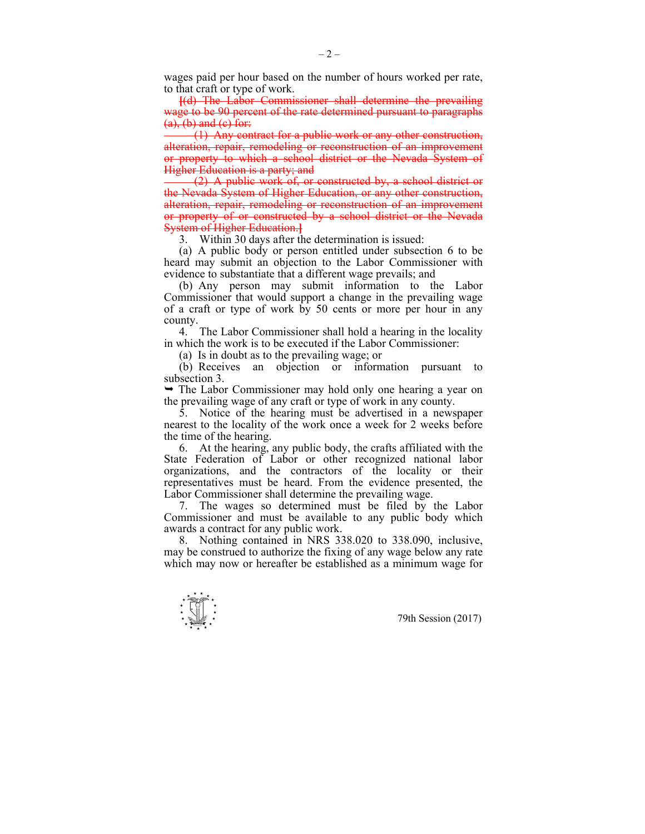wages paid per hour based on the number of hours worked per rate, to that craft or type of work.

**[**(d) The Labor Commissioner shall determine the prevailing wage to be 90 percent of the rate determined pursuant to paragraphs  $(a)$ ,  $(b)$  and  $(c)$  for:

 (1) Any contract for a public work or any other construction, alteration, repair, remodeling or reconstruction of an improvement or property to which a school district or the Nevada System of Higher Education is a party; and

 (2) A public work of, or constructed by, a school district or the Nevada System of Higher Education, or any other construction, alteration, repair, remodeling or reconstruction of an improvement or property of or constructed by a school district or the Nevada System of Higher Education.**]**

3. Within 30 days after the determination is issued:

 (a) A public body or person entitled under subsection 6 to be heard may submit an objection to the Labor Commissioner with evidence to substantiate that a different wage prevails; and

 (b) Any person may submit information to the Labor Commissioner that would support a change in the prevailing wage of a craft or type of work by 50 cents or more per hour in any county.

 4. The Labor Commissioner shall hold a hearing in the locality in which the work is to be executed if the Labor Commissioner:

(a) Is in doubt as to the prevailing wage; or

 (b) Receives an objection or information pursuant to subsection 3.

 $\rightarrow$  The Labor Commissioner may hold only one hearing a year on the prevailing wage of any craft or type of work in any county.

 5. Notice of the hearing must be advertised in a newspaper nearest to the locality of the work once a week for 2 weeks before the time of the hearing.

 6. At the hearing, any public body, the crafts affiliated with the State Federation of Labor or other recognized national labor organizations, and the contractors of the locality or their representatives must be heard. From the evidence presented, the Labor Commissioner shall determine the prevailing wage.

 7. The wages so determined must be filed by the Labor Commissioner and must be available to any public body which awards a contract for any public work.

 8. Nothing contained in NRS 338.020 to 338.090, inclusive, may be construed to authorize the fixing of any wage below any rate which may now or hereafter be established as a minimum wage for